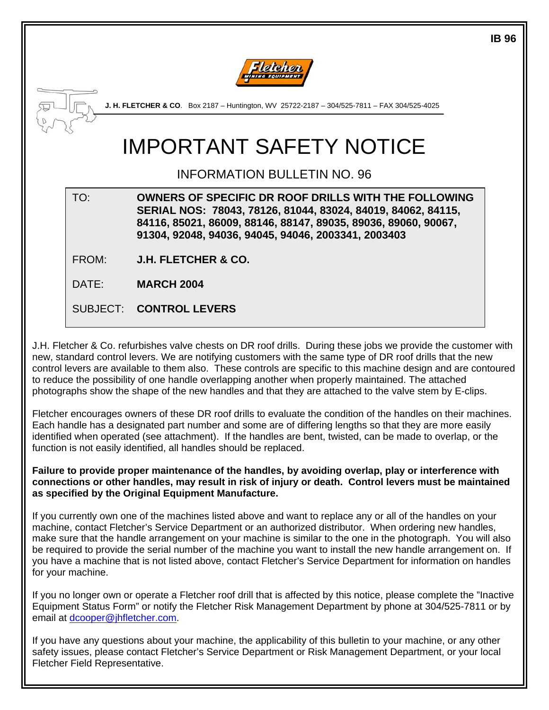

**J. H. FLETCHER & CO**. Box 2187 – Huntington, WV 25722-2187 – 304/525-7811 – FAX 304/525-4025

# IMPORTANT SAFETY NOTICE

### INFORMATION BULLETIN NO. 96

TO: **OWNERS OF SPECIFIC DR ROOF DRILLS WITH THE FOLLOWING SERIAL NOS: 78043, 78126, 81044, 83024, 84019, 84062, 84115, 84116, 85021, 86009, 88146, 88147, 89035, 89036, 89060, 90067, 91304, 92048, 94036, 94045, 94046, 2003341, 2003403** 

FROM: **J.H. FLETCHER & CO.**

DATE: **MARCH 2004**

SUBJECT: **CONTROL LEVERS**

J.H. Fletcher & Co. refurbishes valve chests on DR roof drills. During these jobs we provide the customer with new, standard control levers. We are notifying customers with the same type of DR roof drills that the new control levers are available to them also. These controls are specific to this machine design and are contoured to reduce the possibility of one handle overlapping another when properly maintained. The attached photographs show the shape of the new handles and that they are attached to the valve stem by E-clips.

Fletcher encourages owners of these DR roof drills to evaluate the condition of the handles on their machines. Each handle has a designated part number and some are of differing lengths so that they are more easily identified when operated (see attachment). If the handles are bent, twisted, can be made to overlap, or the function is not easily identified, all handles should be replaced.

**Failure to provide proper maintenance of the handles, by avoiding overlap, play or interference with connections or other handles, may result in risk of injury or death. Control levers must be maintained as specified by the Original Equipment Manufacture.** 

If you currently own one of the machines listed above and want to replace any or all of the handles on your machine, contact Fletcher's Service Department or an authorized distributor. When ordering new handles, make sure that the handle arrangement on your machine is similar to the one in the photograph. You will also be required to provide the serial number of the machine you want to install the new handle arrangement on. If you have a machine that is not listed above, contact Fletcher's Service Department for information on handles for your machine.

If you no longer own or operate a Fletcher roof drill that is affected by this notice, please complete the "Inactive Equipment Status Form" or notify the Fletcher Risk Management Department by phone at 304/525-7811 or by email at [dcooper@jhfletcher.com.](mailto:dcooper@jhfletcher.com)

If you have any questions about your machine, the applicability of this bulletin to your machine, or any other safety issues, please contact Fletcher's Service Department or Risk Management Department, or your local Fletcher Field Representative.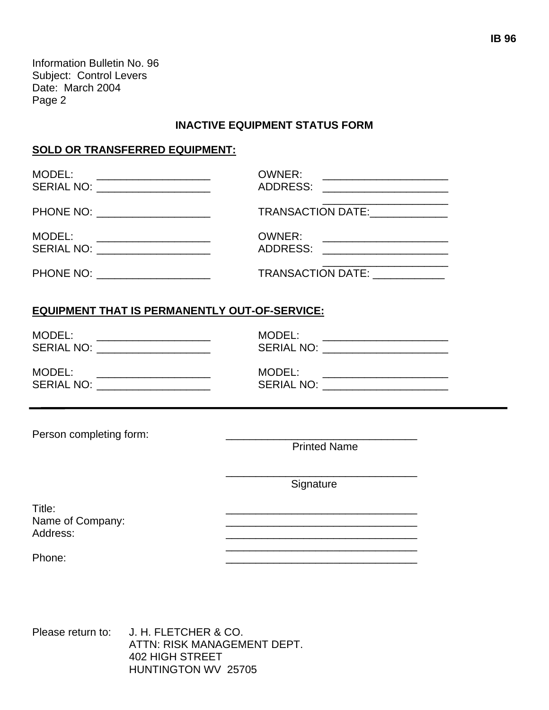Information Bulletin No. 96 Subject: Control Levers Date: March 2004 Page 2

#### **INACTIVE EQUIPMENT STATUS FORM**

#### **SOLD OR TRANSFERRED EQUIPMENT:**

| MODEL:<br>SERIAL NO: ___________________<br>PHONE NO: _____________________<br>MODEL:<br>SERIAL NO: ____________________ | <b>OWNER:</b><br>TRANSACTION DATE:<br><b>OWNER:</b><br>ADDRESS: _____________________                                |                                                      |                                                                           |
|--------------------------------------------------------------------------------------------------------------------------|----------------------------------------------------------------------------------------------------------------------|------------------------------------------------------|---------------------------------------------------------------------------|
|                                                                                                                          |                                                                                                                      | PHONE NO: ____________________                       | <u> 1990 - Johann Barbara, martxa al</u><br>TRANSACTION DATE: ___________ |
|                                                                                                                          |                                                                                                                      | <b>EQUIPMENT THAT IS PERMANENTLY OUT-OF-SERVICE:</b> |                                                                           |
| MODEL:<br>SERIAL NO: ___________________                                                                                 | MODEL:<br>SERIAL NO: _______________________                                                                         |                                                      |                                                                           |
| MODEL:<br>SERIAL NO: ____________________                                                                                | MODEL: ________________________<br>SERIAL NO: ______________________                                                 |                                                      |                                                                           |
| Person completing form:                                                                                                  |                                                                                                                      |                                                      |                                                                           |
|                                                                                                                          | <b>Printed Name</b>                                                                                                  |                                                      |                                                                           |
|                                                                                                                          | Signature                                                                                                            |                                                      |                                                                           |
| Title:<br>Name of Company:<br>Address:                                                                                   | <u> 1989 - Johann Stein, marwolaethau a bhann an t-Amhair an t-Amhair an t-Amhair an t-Amhair an t-Amhair an t-A</u> |                                                      |                                                                           |
| Phone:                                                                                                                   | <u> 1989 - Johann Stoff, amerikansk politiker (* 1908)</u>                                                           |                                                      |                                                                           |
|                                                                                                                          |                                                                                                                      |                                                      |                                                                           |
|                                                                                                                          |                                                                                                                      |                                                      |                                                                           |
|                                                                                                                          |                                                                                                                      |                                                      |                                                                           |

Please return to: J. H. FLETCHER & CO. ATTN: RISK MANAGEMENT DEPT. 402 HIGH STREET HUNTINGTON WV 25705